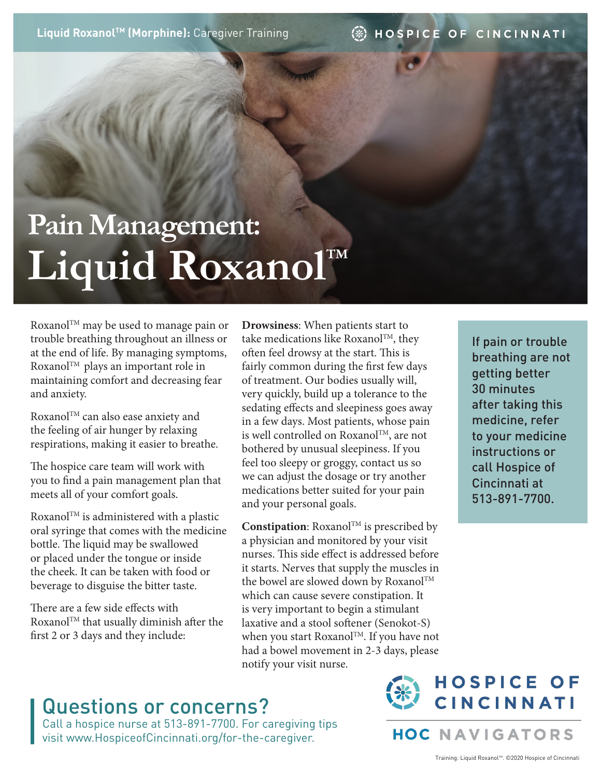**Liquid Roxanol™ (Morphine): Caregiver Training** 

#### ④ HOSPICE OF CINCINNATI

# **Pain Management:**  Liquid RoxanolTM

Roxanol™ may be used to manage pain or trouble breathing throughout an illness or at the end of life. By managing symptoms, Roxanol<sup>TM</sup> plays an important role in maintaining comfort and decreasing fear and anxiety.

Roxanol™ can also ease anxiety and the feeling of air hunger by relaxing respirations, making it easier to breathe.

The hospice care team will work with you to find a pain management plan that meets all of your comfort goals.

 $\rm Roxanol^{TM}$  is administered with a plastic oral syringe that comes with the medicine bottle. The liquid may be swallowed or placed under the tongue or inside the cheek. It can be taken with food or beverage to disguise the bitter taste.

There are a few side effects with Roxanol<sup>TM</sup> that usually diminish after the first 2 or 3 days and they include:

**Drowsiness**: When patients start to take medications like Roxanol $TM$ , they often feel drowsy at the start. This is fairly common during the first few days of treatment. Our bodies usually will, very quickly, build up a tolerance to the sedating effects and sleepiness goes away in a few days. Most patients, whose pain is well controlled on Roxanol™, are not bothered by unusual sleepiness. If you feel too sleepy or groggy, contact us so we can adjust the dosage or try another medications better suited for your pain and your personal goals.

**Constipation**: Roxanol™ is prescribed by a physician and monitored by your visit nurses. This side effect is addressed before it starts. Nerves that supply the muscles in the bowel are slowed down by Roxanol<sup>TM</sup> which can cause severe constipation. It is very important to begin a stimulant laxative and a stool softener (Senokot-S) when you start Roxanol™. If you have not had a bowel movement in 2-3 days, please notify your visit nurse.

## Questions or concerns?

Call a hospice nurse at 513-891-7700. For caregiving tips visit www.HospiceofCincinnati.org/for-the-caregiver.



**HOC NAVIGATORS** 

If pain or trouble breathing are not getting better 30 minutes after taking this medicine, refer to your medicine instructions or call Hospice of Cincinnati at 513-891-7700.